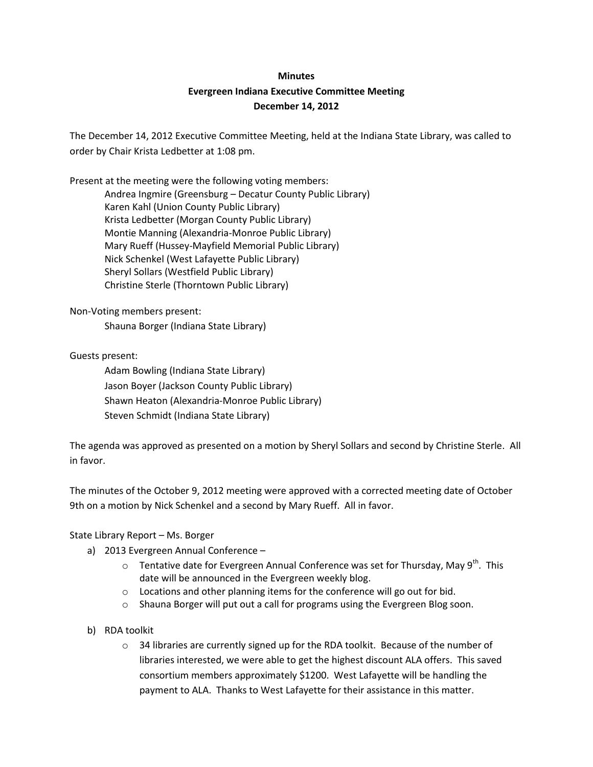# **Minutes Evergreen Indiana Executive Committee Meeting December 14, 2012**

The December 14, 2012 Executive Committee Meeting, held at the Indiana State Library, was called to order by Chair Krista Ledbetter at 1:08 pm.

Present at the meeting were the following voting members: Andrea Ingmire (Greensburg – Decatur County Public Library) Karen Kahl (Union County Public Library) Krista Ledbetter (Morgan County Public Library) Montie Manning (Alexandria-Monroe Public Library) Mary Rueff (Hussey-Mayfield Memorial Public Library) Nick Schenkel (West Lafayette Public Library) Sheryl Sollars (Westfield Public Library) Christine Sterle (Thorntown Public Library)

Non-Voting members present:

Shauna Borger (Indiana State Library)

Guests present:

Adam Bowling (Indiana State Library) Jason Boyer (Jackson County Public Library) Shawn Heaton (Alexandria-Monroe Public Library) Steven Schmidt (Indiana State Library)

The agenda was approved as presented on a motion by Sheryl Sollars and second by Christine Sterle. All in favor.

The minutes of the October 9, 2012 meeting were approved with a corrected meeting date of October 9th on a motion by Nick Schenkel and a second by Mary Rueff. All in favor.

### State Library Report – Ms. Borger

- a) 2013 Evergreen Annual Conference
	- $\circ$  Tentative date for Evergreen Annual Conference was set for Thursday, May 9<sup>th</sup>. This date will be announced in the Evergreen weekly blog.
	- o Locations and other planning items for the conference will go out for bid.
	- o Shauna Borger will put out a call for programs using the Evergreen Blog soon.
- b) RDA toolkit
	- $\circ$  34 libraries are currently signed up for the RDA toolkit. Because of the number of libraries interested, we were able to get the highest discount ALA offers. This saved consortium members approximately \$1200. West Lafayette will be handling the payment to ALA. Thanks to West Lafayette for their assistance in this matter.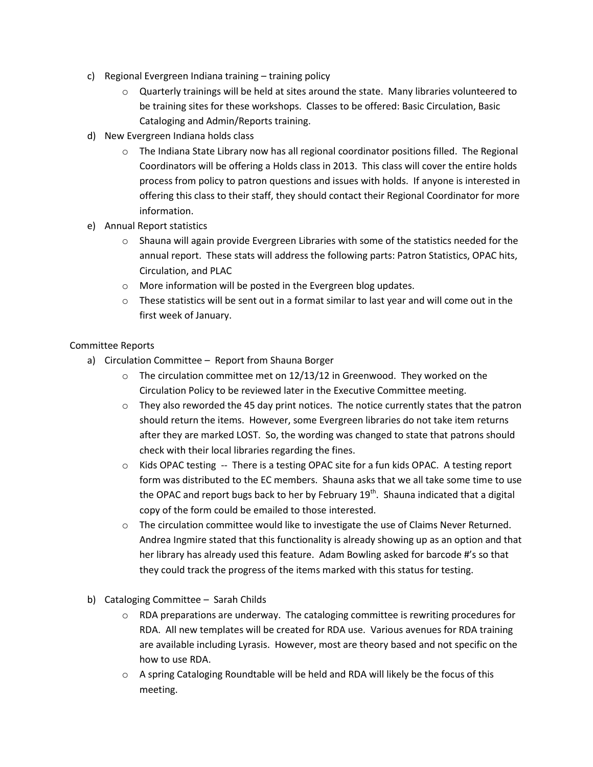- c) Regional Evergreen Indiana training training policy
	- o Quarterly trainings will be held at sites around the state. Many libraries volunteered to be training sites for these workshops. Classes to be offered: Basic Circulation, Basic Cataloging and Admin/Reports training.
- d) New Evergreen Indiana holds class
	- $\circ$  The Indiana State Library now has all regional coordinator positions filled. The Regional Coordinators will be offering a Holds class in 2013. This class will cover the entire holds process from policy to patron questions and issues with holds. If anyone is interested in offering this class to their staff, they should contact their Regional Coordinator for more information.
- e) Annual Report statistics
	- $\circ$  Shauna will again provide Evergreen Libraries with some of the statistics needed for the annual report. These stats will address the following parts: Patron Statistics, OPAC hits, Circulation, and PLAC
	- o More information will be posted in the Evergreen blog updates.
	- $\circ$  These statistics will be sent out in a format similar to last year and will come out in the first week of January.

### Committee Reports

- a) Circulation Committee Report from Shauna Borger
	- $\circ$  The circulation committee met on 12/13/12 in Greenwood. They worked on the Circulation Policy to be reviewed later in the Executive Committee meeting.
	- $\circ$  They also reworded the 45 day print notices. The notice currently states that the patron should return the items. However, some Evergreen libraries do not take item returns after they are marked LOST. So, the wording was changed to state that patrons should check with their local libraries regarding the fines.
	- o Kids OPAC testing -- There is a testing OPAC site for a fun kids OPAC. A testing report form was distributed to the EC members. Shauna asks that we all take some time to use the OPAC and report bugs back to her by February 19<sup>th</sup>. Shauna indicated that a digital copy of the form could be emailed to those interested.
	- $\circ$  The circulation committee would like to investigate the use of Claims Never Returned. Andrea Ingmire stated that this functionality is already showing up as an option and that her library has already used this feature. Adam Bowling asked for barcode #'s so that they could track the progress of the items marked with this status for testing.
- b) Cataloging Committee Sarah Childs
	- $\circ$  RDA preparations are underway. The cataloging committee is rewriting procedures for RDA. All new templates will be created for RDA use. Various avenues for RDA training are available including Lyrasis. However, most are theory based and not specific on the how to use RDA.
	- $\circ$  A spring Cataloging Roundtable will be held and RDA will likely be the focus of this meeting.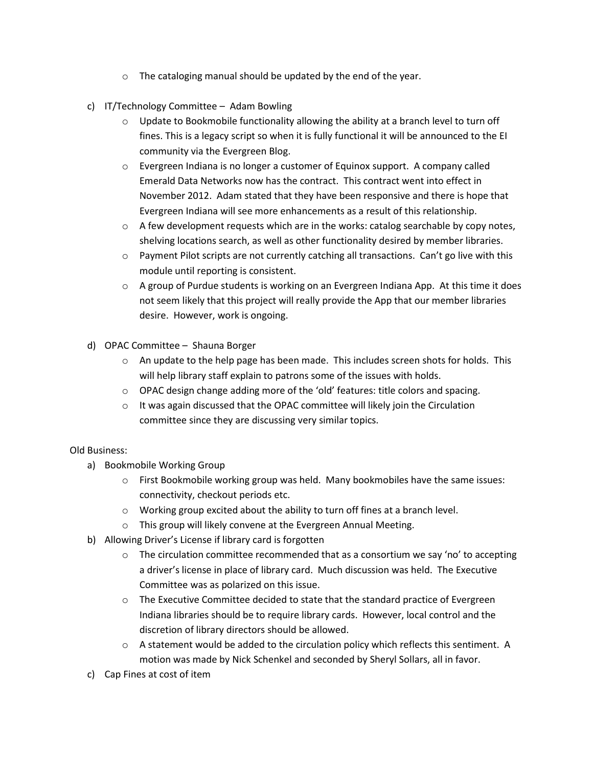- o The cataloging manual should be updated by the end of the year.
- c) IT/Technology Committee Adam Bowling
	- $\circ$  Update to Bookmobile functionality allowing the ability at a branch level to turn off fines. This is a legacy script so when it is fully functional it will be announced to the EI community via the Evergreen Blog.
	- $\circ$  Evergreen Indiana is no longer a customer of Equinox support. A company called Emerald Data Networks now has the contract. This contract went into effect in November 2012. Adam stated that they have been responsive and there is hope that Evergreen Indiana will see more enhancements as a result of this relationship.
	- $\circ$  A few development requests which are in the works: catalog searchable by copy notes, shelving locations search, as well as other functionality desired by member libraries.
	- $\circ$  Payment Pilot scripts are not currently catching all transactions. Can't go live with this module until reporting is consistent.
	- $\circ$  A group of Purdue students is working on an Evergreen Indiana App. At this time it does not seem likely that this project will really provide the App that our member libraries desire. However, work is ongoing.
- d) OPAC Committee Shauna Borger
	- $\circ$  An update to the help page has been made. This includes screen shots for holds. This will help library staff explain to patrons some of the issues with holds.
	- $\circ$  OPAC design change adding more of the 'old' features: title colors and spacing.
	- $\circ$  It was again discussed that the OPAC committee will likely join the Circulation committee since they are discussing very similar topics.

### Old Business:

- a) Bookmobile Working Group
	- $\circ$  First Bookmobile working group was held. Many bookmobiles have the same issues: connectivity, checkout periods etc.
	- o Working group excited about the ability to turn off fines at a branch level.
	- o This group will likely convene at the Evergreen Annual Meeting.
- b) Allowing Driver's License if library card is forgotten
	- $\circ$  The circulation committee recommended that as a consortium we say 'no' to accepting a driver's license in place of library card. Much discussion was held. The Executive Committee was as polarized on this issue.
	- $\circ$  The Executive Committee decided to state that the standard practice of Evergreen Indiana libraries should be to require library cards. However, local control and the discretion of library directors should be allowed.
	- $\circ$  A statement would be added to the circulation policy which reflects this sentiment. A motion was made by Nick Schenkel and seconded by Sheryl Sollars, all in favor.
- c) Cap Fines at cost of item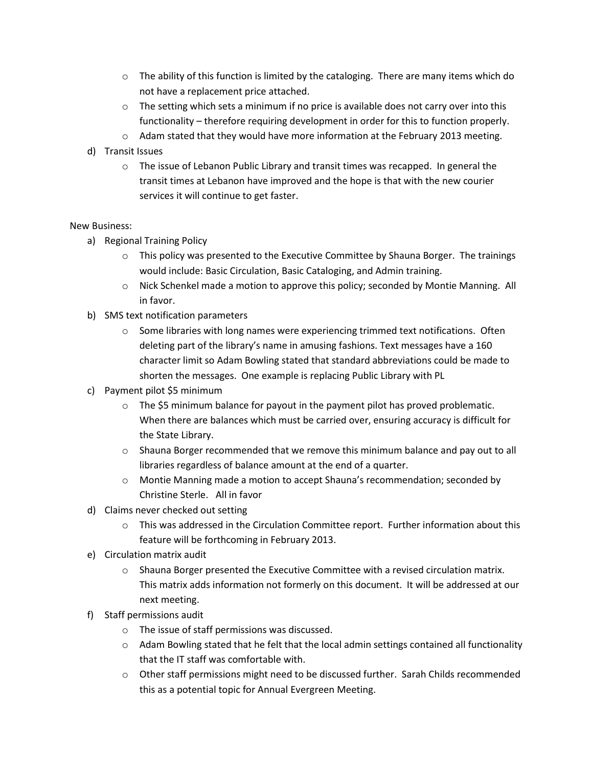- $\circ$  The ability of this function is limited by the cataloging. There are many items which do not have a replacement price attached.
- $\circ$  The setting which sets a minimum if no price is available does not carry over into this functionality – therefore requiring development in order for this to function properly.
- $\circ$  Adam stated that they would have more information at the February 2013 meeting.
- d) Transit Issues
	- $\circ$  The issue of Lebanon Public Library and transit times was recapped. In general the transit times at Lebanon have improved and the hope is that with the new courier services it will continue to get faster.

## New Business:

- a) Regional Training Policy
	- $\circ$  This policy was presented to the Executive Committee by Shauna Borger. The trainings would include: Basic Circulation, Basic Cataloging, and Admin training.
	- o Nick Schenkel made a motion to approve this policy; seconded by Montie Manning. All in favor.
- b) SMS text notification parameters
	- $\circ$  Some libraries with long names were experiencing trimmed text notifications. Often deleting part of the library's name in amusing fashions. Text messages have a 160 character limit so Adam Bowling stated that standard abbreviations could be made to shorten the messages. One example is replacing Public Library with PL
- c) Payment pilot \$5 minimum
	- $\circ$  The \$5 minimum balance for payout in the payment pilot has proved problematic. When there are balances which must be carried over, ensuring accuracy is difficult for the State Library.
	- o Shauna Borger recommended that we remove this minimum balance and pay out to all libraries regardless of balance amount at the end of a quarter.
	- o Montie Manning made a motion to accept Shauna's recommendation; seconded by Christine Sterle. All in favor
- d) Claims never checked out setting
	- o This was addressed in the Circulation Committee report. Further information about this feature will be forthcoming in February 2013.
- e) Circulation matrix audit
	- $\circ$  Shauna Borger presented the Executive Committee with a revised circulation matrix. This matrix adds information not formerly on this document. It will be addressed at our next meeting.
- f) Staff permissions audit
	- o The issue of staff permissions was discussed.
	- $\circ$  Adam Bowling stated that he felt that the local admin settings contained all functionality that the IT staff was comfortable with.
	- $\circ$  Other staff permissions might need to be discussed further. Sarah Childs recommended this as a potential topic for Annual Evergreen Meeting.